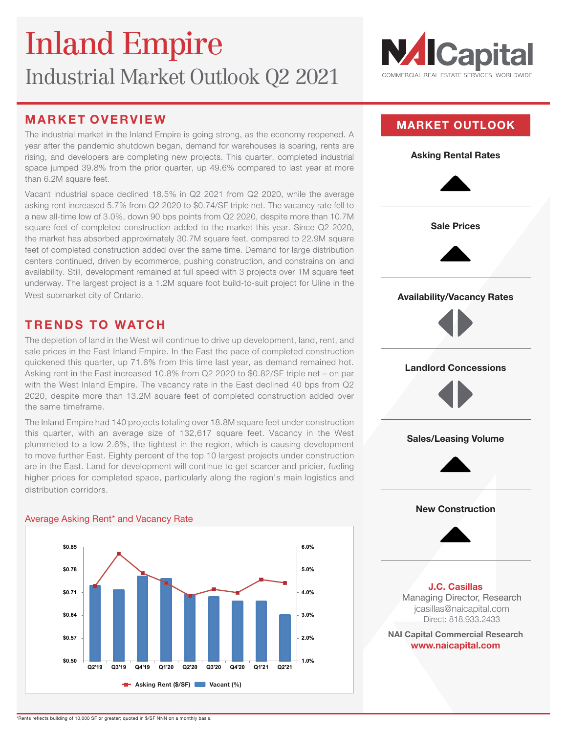

The industrial market in the Inland Empire is going strong, as the economy reopened. A year after the pandemic shutdown began, demand for warehouses is soaring, rents are rising, and developers are completing new projects. This quarter, completed industrial space jumped 39.8% from the prior quarter, up 49.6% compared to last year at more than 6.2M square feet.

Vacant industrial space declined 18.5% in Q2 2021 from Q2 2020, while the average asking rent increased 5.7% from Q2 2020 to \$0.74/SF triple net. The vacancy rate fell to a new all-time low of 3.0%, down 90 bps points from Q2 2020, despite more than 10.7M square feet of completed construction added to the market this year. Since Q2 2020, the market has absorbed approximately 30.7M square feet, compared to 22.9M square feet of completed construction added over the same time. Demand for large distribution centers continued, driven by ecommerce, pushing construction, and constrains on land availability. Still, development remained at full speed with 3 projects over 1M square feet underway. The largest project is a 1.2M square foot build-to-suit project for Uline in the West submarket city of Ontario.

### **TRENDS TO WATCH**

The depletion of land in the West will continue to drive up development, land, rent, and sale prices in the East Inland Empire. In the East the pace of completed construction quickened this quarter, up 71.6% from this time last year, as demand remained hot. Asking rent in the East increased 10.8% from Q2 2020 to \$0.82/SF triple net – on par with the West Inland Empire. The vacancy rate in the East declined 40 bps from Q2 2020, despite more than 13.2M square feet of completed construction added over the same timeframe.

The Inland Empire had 140 projects totaling over 18.8M square feet under construction this quarter, with an average size of 132,617 square feet. Vacancy in the West plummeted to a low 2.6%, the tightest in the region, which is causing development to move further East. Eighty percent of the top 10 largest projects under construction are in the East. Land for development will continue to get scarcer and pricier, fueling higher prices for completed space, particularly along the region's main logistics and distribution corridors.

#### Average Asking Rent\* and Vacancy Rate



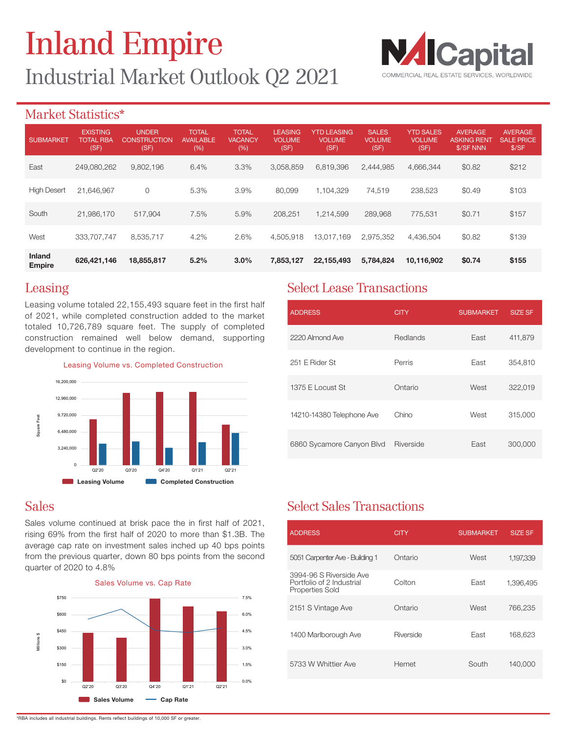

### Market Statistics\*

| <b>SUBMARKET</b>               | <b>EXISTING</b><br><b>TOTAL RBA</b><br>(SF) | <b>UNDER</b><br>CONSTRUCTION<br>(SF) | <b>TOTAL</b><br><b>AVAILABLE</b><br>(%) | <b>TOTAL</b><br><b>VACANCY</b><br>(%) | <b>LEASING</b><br><b>VOLUME</b><br>(SF) | <b>YTD LEASING</b><br><b>VOLUME</b><br>(SF) | <b>SALES</b><br><b>VOLUME</b><br>(SF) | <b>YTD SALES</b><br><b>VOLUME</b><br>(SF) | <b>AVERAGE</b><br><b>ASKING RENT</b><br>\$/SF NNN | <b>AVERAGE</b><br><b>SALE PRICE</b><br>\$/SF |
|--------------------------------|---------------------------------------------|--------------------------------------|-----------------------------------------|---------------------------------------|-----------------------------------------|---------------------------------------------|---------------------------------------|-------------------------------------------|---------------------------------------------------|----------------------------------------------|
| East                           | 249,080,262                                 | 9,802,196                            | 6.4%                                    | 3.3%                                  | 3.058.859                               | 6,819,396                                   | 2.444.985                             | 4.666.344                                 | \$0.82                                            | \$212                                        |
| <b>High Desert</b>             | 21.646.967                                  | $\circ$                              | 5.3%                                    | 3.9%                                  | 80.099                                  | .104.329                                    | 74,519                                | 238,523                                   | \$0.49                                            | \$103                                        |
| South                          | 21,986,170                                  | 517,904                              | 7.5%                                    | 5.9%                                  | 208.251                                 | 1.214.599                                   | 289.968                               | 775.531                                   | \$0.71                                            | \$157                                        |
| West                           | 333.707.747                                 | 8,535,717                            | 4.2%                                    | 2.6%                                  | 4,505,918                               | 13.017.169                                  | 2.975.352                             | 4.436.504                                 | \$0.82                                            | \$139                                        |
| <b>Inland</b><br><b>Empire</b> | 626,421,146                                 | 18,855,817                           | 5.2%                                    | 3.0%                                  | 7,853,127                               | 22,155,493                                  | 5,784,824                             | 10,116,902                                | \$0.74                                            | \$155                                        |

### Leasing

Leasing volume totaled 22,155,493 square feet in the first half of 2021, while completed construction added to the market totaled 10,726,789 square feet. The supply of completed construction remained well below demand, supporting development to continue in the region.



Leasing Volume vs. Completed Construction

## Sales

Sales volume continued at brisk pace the in first half of 2021, rising 69% from the first half of 2020 to more than \$1.3B. The average cap rate on investment sales inched up 40 bps points from the previous quarter, down 80 bps points from the second quarter of 2020 to 4.8%



## Select Lease Transactions

| <b>ADDRESS</b>            | <b>CITY</b> | <b>SUBMARKET</b> | <b>SIZE SF</b> |
|---------------------------|-------------|------------------|----------------|
| 2220 Almond Ave           | Redlands    | East             | 411,879        |
| 251 E Rider St            | Perris      | East             | 354,810        |
| 1375 E Locust St          | Ontario     | West             | 322,019        |
| 14210-14380 Telephone Ave | Chino       | West             | 315,000        |
| 6860 Sycamore Canyon Blvd | Riverside   | East             | 300,000        |

## Select Sales Transactions

| <b>ADDRESS</b>                                                                 | CITY      | <b>SUBMARKET</b> | <b>SIZE SF</b> |
|--------------------------------------------------------------------------------|-----------|------------------|----------------|
| 5051 Carpenter Ave - Building 1                                                | Ontario   | West             | 1,197,339      |
| 3994-96 S Riverside Ave<br>Portfolio of 2 Industrial<br><b>Properties Sold</b> | Colton    | East             | 1,396,495      |
| 2151 S Vintage Ave                                                             | Ontario   | West             | 766,235        |
| 1400 Marlborough Ave                                                           | Riverside | East             | 168,623        |
| 5733 W Whittier Ave                                                            | Hemet     | South            | 140,000        |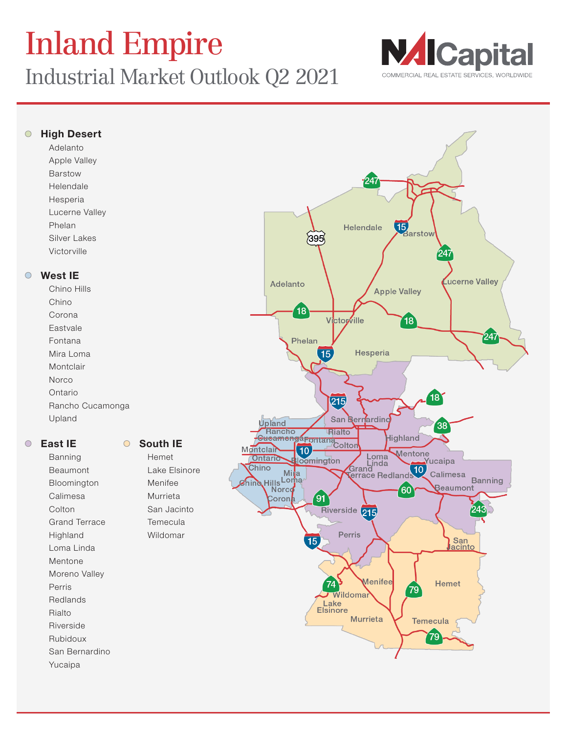